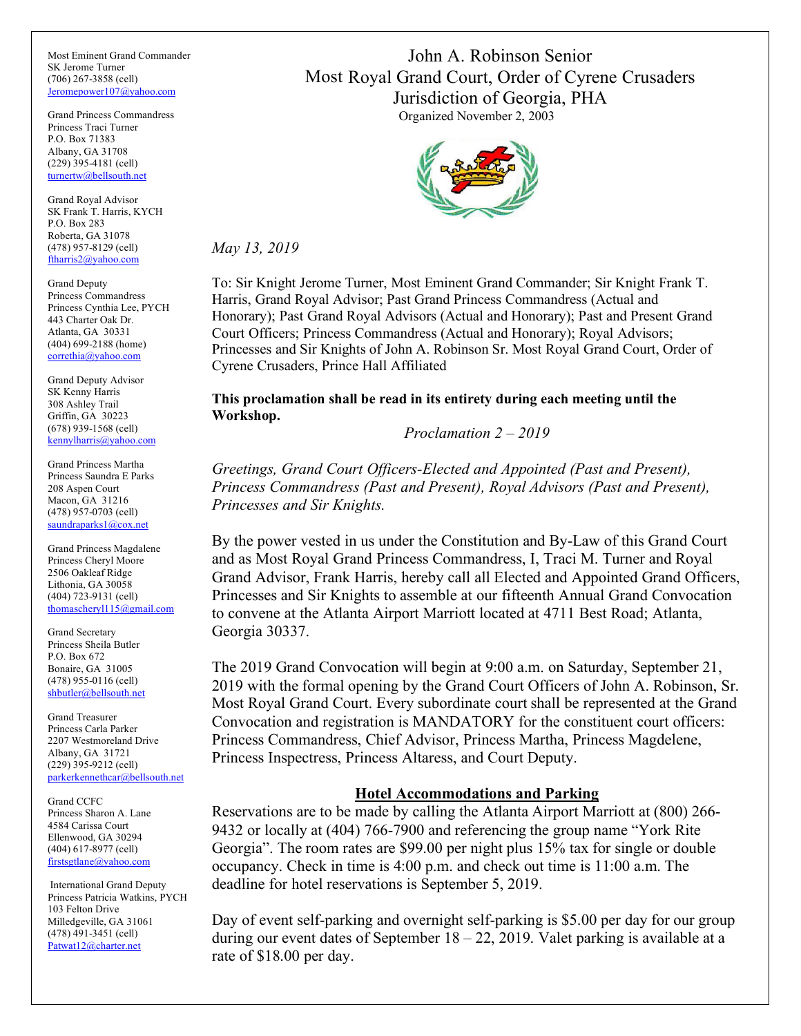Most Eminent Grand Commander SK Jerome Turner (706) 267-3858 (cell) [Jeromepower107@yahoo.com](mailto:Jeromepower107@yahoo.com)

Grand Princess Commandress Princess Traci Turner P.O. Box 71383 Albany, GA 31708 (229) 395-4181 (cell) [turnertw@bellsouth.net](mailto:turnertw@bellsouth.net)

Grand Royal Advisor SK Frank T. Harris, KYCH P.O. Box 283 Roberta, GA 31078 (478) 957-8129 (cell) [ftharris2@yahoo.com](mailto:ftharris2@yahoo.com)

Grand Deputy Princess Commandress Princess Cynthia Lee, PYCH 443 Charter Oak Dr. Atlanta, GA 30331 (404) 699-2188 (home) [correthia@yahoo.com](mailto:correthia@yahoo.com)

Grand Deputy Advisor SK Kenny Harris 308 Ashley Trail Griffin, GA 30223 (678) 939-1568 (cell) [kennylharris@yahoo.com](mailto:kennylharris@yahoo.com)

Grand Princess Martha Princess Saundra E Parks 208 Aspen Court Macon, GA 31216 (478) 957-0703 (cell) [saundraparks1@cox.net](mailto:saundraparks1@cox.net)

Grand Princess Magdalene Princess Cheryl Moore 2506 Oakleaf Ridge Lithonia, GA 30058 (404) 723-9131 (cell) [thomascheryl115@gmail.com](mailto:thomascheryl115@gmail.com)

Grand Secretary Princess Sheila Butler P.O. Box 672 Bonaire, GA 31005 (478) 955-0116 (cell) [shbutler@bellsouth.net](mailto:shbutler@bellsouth.net)

Grand Treasurer Princess Carla Parker 2207 Westmoreland Drive Albany, GA 31721 (229) 395-9212 (cell) [parkerkennethcar@bellsouth.net](mailto:parkerkennethcar@bellsouth.net)

Grand CCFC Princess Sharon A. Lane 4584 Carissa Court Ellenwood, GA 30294 (404) 617-8977 (cell) [firstsgtlane@yahoo.com](mailto:firstsgtlane@yahoo.com)

International Grand Deputy Princess Patricia Watkins, PYCH 103 Felton Drive Milledgeville, GA 31061 (478) 491-3451 (cell) [Patwat12@charter.net](mailto:Patwat12@charter.net)

John A. Robinson Senior Most Royal Grand Court, Order of Cyrene Crusaders Jurisdiction of Georgia, PHA Organized November 2, 2003



*May 13, 2019*

To: Sir Knight Jerome Turner, Most Eminent Grand Commander; Sir Knight Frank T. Harris, Grand Royal Advisor; Past Grand Princess Commandress (Actual and Honorary); Past Grand Royal Advisors (Actual and Honorary); Past and Present Grand Court Officers; Princess Commandress (Actual and Honorary); Royal Advisors; Princesses and Sir Knights of John A. Robinson Sr. Most Royal Grand Court, Order of Cyrene Crusaders, Prince Hall Affiliated

**This proclamation shall be read in its entirety during each meeting until the Workshop.**

*Proclamation 2 – 2019*

*Greetings, Grand Court Officers-Elected and Appointed (Past and Present), Princess Commandress (Past and Present), Royal Advisors (Past and Present), Princesses and Sir Knights.* 

By the power vested in us under the Constitution and By-Law of this Grand Court and as Most Royal Grand Princess Commandress, I, Traci M. Turner and Royal Grand Advisor, Frank Harris, hereby call all Elected and Appointed Grand Officers, Princesses and Sir Knights to assemble at our fifteenth Annual Grand Convocation to convene at the Atlanta Airport Marriott located at 4711 Best Road; Atlanta, Georgia 30337.

The 2019 Grand Convocation will begin at 9:00 a.m. on Saturday, September 21, 2019 with the formal opening by the Grand Court Officers of John A. Robinson, Sr. Most Royal Grand Court. Every subordinate court shall be represented at the Grand Convocation and registration is MANDATORY for the constituent court officers: Princess Commandress, Chief Advisor, Princess Martha, Princess Magdelene, Princess Inspectress, Princess Altaress, and Court Deputy.

# **Hotel Accommodations and Parking**

Reservations are to be made by calling the Atlanta Airport Marriott at (800) 266- 9432 or locally at (404) 766-7900 and referencing the group name "York Rite Georgia". The room rates are \$99.00 per night plus 15% tax for single or double occupancy. Check in time is 4:00 p.m. and check out time is 11:00 a.m. The deadline for hotel reservations is September 5, 2019.

Day of event self-parking and overnight self-parking is \$5.00 per day for our group during our event dates of September 18 – 22, 2019. Valet parking is available at a rate of \$18.00 per day.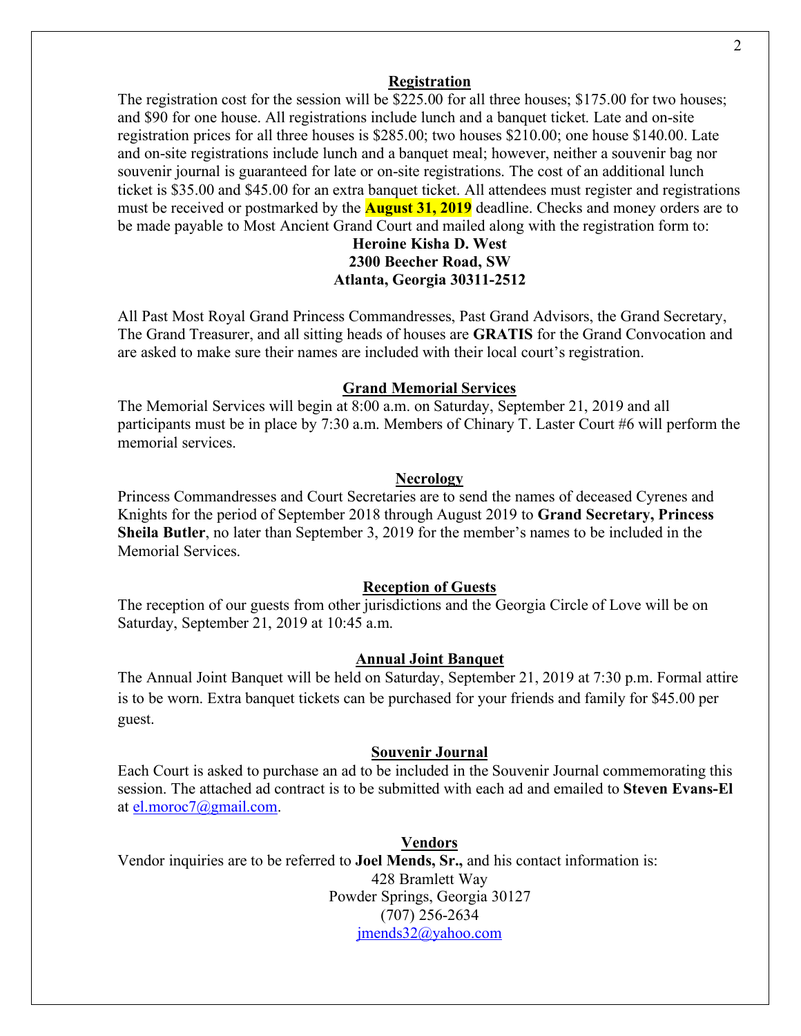### **Registration**

The registration cost for the session will be \$225.00 for all three houses; \$175.00 for two houses; and \$90 for one house. All registrations include lunch and a banquet ticket. Late and on-site registration prices for all three houses is \$285.00; two houses \$210.00; one house \$140.00. Late and on-site registrations include lunch and a banquet meal; however, neither a souvenir bag nor souvenir journal is guaranteed for late or on-site registrations. The cost of an additional lunch ticket is \$35.00 and \$45.00 for an extra banquet ticket. All attendees must register and registrations must be received or postmarked by the **August 31, 2019** deadline. Checks and money orders are to be made payable to Most Ancient Grand Court and mailed along with the registration form to:

# **Heroine Kisha D. West 2300 Beecher Road, SW Atlanta, Georgia 30311-2512**

All Past Most Royal Grand Princess Commandresses, Past Grand Advisors, the Grand Secretary, The Grand Treasurer, and all sitting heads of houses are **GRATIS** for the Grand Convocation and are asked to make sure their names are included with their local court's registration.

# **Grand Memorial Services**

The Memorial Services will begin at 8:00 a.m. on Saturday, September 21, 2019 and all participants must be in place by 7:30 a.m. Members of Chinary T. Laster Court #6 will perform the memorial services.

### **Necrology**

Princess Commandresses and Court Secretaries are to send the names of deceased Cyrenes and Knights for the period of September 2018 through August 2019 to **Grand Secretary, Princess Sheila Butler**, no later than September 3, 2019 for the member's names to be included in the Memorial Services.

# **Reception of Guests**

The reception of our guests from other jurisdictions and the Georgia Circle of Love will be on Saturday, September 21, 2019 at 10:45 a.m.

# **Annual Joint Banquet**

The Annual Joint Banquet will be held on Saturday, September 21, 2019 at 7:30 p.m. Formal attire is to be worn. Extra banquet tickets can be purchased for your friends and family for \$45.00 per guest.

# **Souvenir Journal**

Each Court is asked to purchase an ad to be included in the Souvenir Journal commemorating this session. The attached ad contract is to be submitted with each ad and emailed to **Steven Evans-El** at [el.moroc7@gmail.com.](mailto:el.moroc7@gmail.com)

#### **Vendors**

Vendor inquiries are to be referred to **Joel Mends, Sr.,** and his contact information is: 428 Bramlett Way Powder Springs, Georgia 30127 (707) 256-2634 [jmends32@yahoo.com](mailto:jmends32@yahoo.com)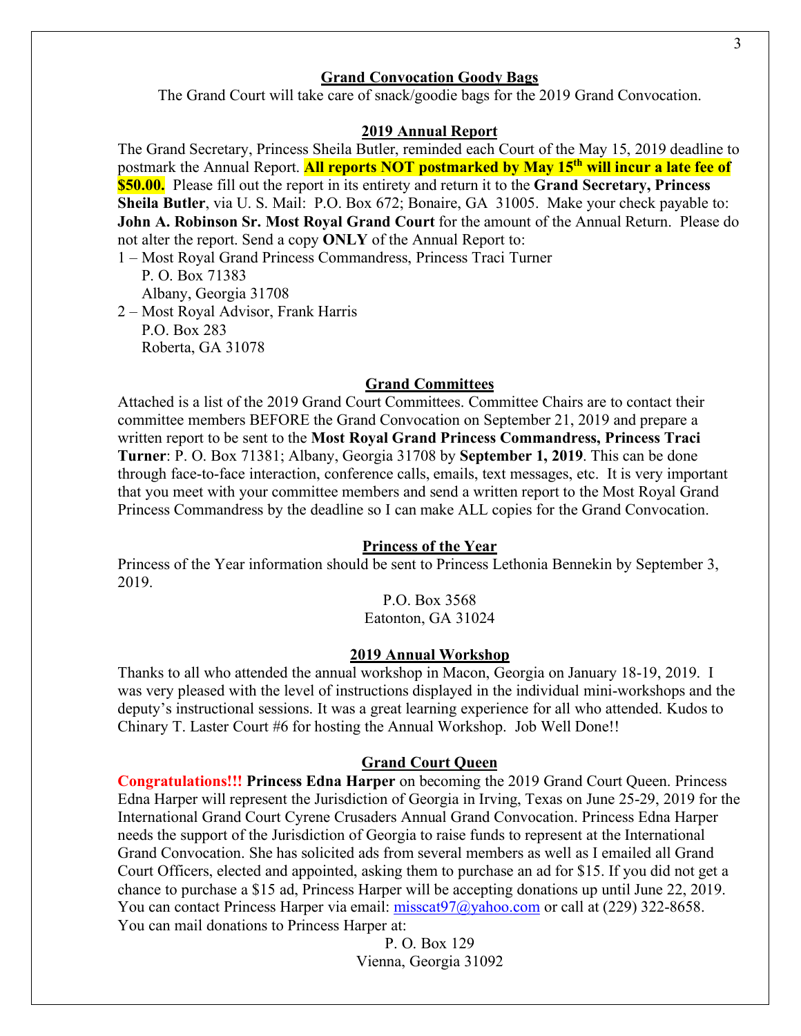# **Grand Convocation Goody Bags**

The Grand Court will take care of snack/goodie bags for the 2019 Grand Convocation.

### **2019 Annual Report**

The Grand Secretary, Princess Sheila Butler, reminded each Court of the May 15, 2019 deadline to postmark the Annual Report. **All reports NOT postmarked by May 15th will incur a late fee of \$50.00.** Please fill out the report in its entirety and return it to the **Grand Secretary, Princess Sheila Butler**, via U. S. Mail: P.O. Box 672; Bonaire, GA 31005. Make your check payable to: **John A. Robinson Sr. Most Royal Grand Court** for the amount of the Annual Return. Please do not alter the report. Send a copy **ONLY** of the Annual Report to:

1 – Most Royal Grand Princess Commandress, Princess Traci Turner P. O. Box 71383 Albany, Georgia 31708 2 – Most Royal Advisor, Frank Harris

 P.O. Box 283 Roberta, GA 31078

## **Grand Committees**

Attached is a list of the 2019 Grand Court Committees. Committee Chairs are to contact their committee members BEFORE the Grand Convocation on September 21, 2019 and prepare a written report to be sent to the **Most Royal Grand Princess Commandress, Princess Traci Turner**: P. O. Box 71381; Albany, Georgia 31708 by **September 1, 2019**. This can be done through face-to-face interaction, conference calls, emails, text messages, etc. It is very important that you meet with your committee members and send a written report to the Most Royal Grand Princess Commandress by the deadline so I can make ALL copies for the Grand Convocation.

# **Princess of the Year**

Princess of the Year information should be sent to Princess Lethonia Bennekin by September 3, 2019.

P.O. Box 3568

Eatonton, GA 31024

# **2019 Annual Workshop**

Thanks to all who attended the annual workshop in Macon, Georgia on January 18-19, 2019. I was very pleased with the level of instructions displayed in the individual mini-workshops and the deputy's instructional sessions. It was a great learning experience for all who attended. Kudos to Chinary T. Laster Court #6 for hosting the Annual Workshop. Job Well Done!!

### **Grand Court Queen**

**Congratulations!!! Princess Edna Harper** on becoming the 2019 Grand Court Queen. Princess Edna Harper will represent the Jurisdiction of Georgia in Irving, Texas on June 25-29, 2019 for the International Grand Court Cyrene Crusaders Annual Grand Convocation. Princess Edna Harper needs the support of the Jurisdiction of Georgia to raise funds to represent at the International Grand Convocation. She has solicited ads from several members as well as I emailed all Grand Court Officers, elected and appointed, asking them to purchase an ad for \$15. If you did not get a chance to purchase a \$15 ad, Princess Harper will be accepting donations up until June 22, 2019. You can contact Princess Harper via email: [misscat97@yahoo.com](mailto:misscat97@yahoo.com) or call at (229) 322-8658. You can mail donations to Princess Harper at:

> P. O. Box 129 Vienna, Georgia 31092